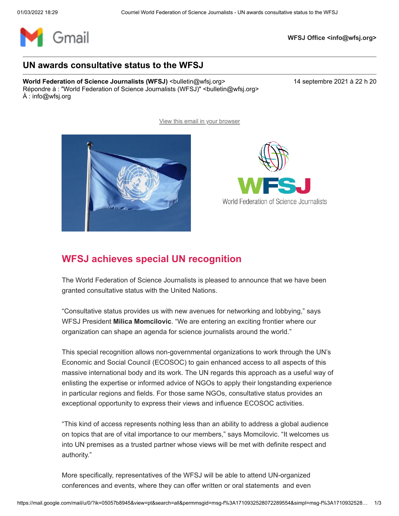

**WFSJ Office <info@wfsj.org>**

## **UN awards consultative status to the WFSJ**

**World Federation of Science Journalists (WFSJ)** <br/>
<br/>  $\leq$  <br/>  $\leq$  <br/>  $\leq$  2021 à 22 h 20 and 2021 à 22 h 20 Répondre à : "World Federation of Science Journalists (WFSJ)" <br/>bulletin@wfsj.org> À : info@wfsj.org



## **WFSJ achieves special UN recognition**

The World Federation of Science Journalists is pleased to announce that we have been granted consultative status with the United Nations.

[View this email in your browser](https://mailchi.mp/wfsj/road-to-medellin-begins-today-5649357?e=5575ecfde9)

"Consultative status provides us with new avenues for networking and lobbying," says WFSJ President **Milica Momcilovic**. "We are entering an exciting frontier where our organization can shape an agenda for science journalists around the world."

This special recognition allows non-governmental organizations to work through the UN's Economic and Social Council (ECOSOC) to gain enhanced access to all aspects of this massive international body and its work. The UN regards this approach as a useful way of enlisting the expertise or informed advice of NGOs to apply their longstanding experience in particular regions and fields. For those same NGOs, consultative status provides an exceptional opportunity to express their views and influence ECOSOC activities.

"This kind of access represents nothing less than an ability to address a global audience on topics that are of vital importance to our members," says Momcilovic. "It welcomes us into UN premises as a trusted partner whose views will be met with definite respect and authority."

More specifically, representatives of the WFSJ will be able to attend UN-organized conferences and events, where they can offer written or oral statements and even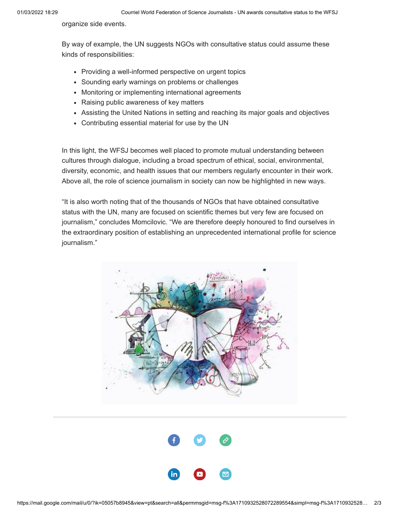organize side events.

By way of example, the UN suggests NGOs with consultative status could assume these kinds of responsibilities:

- Providing a well-informed perspective on urgent topics
- Sounding early warnings on problems or challenges
- Monitoring or implementing international agreements
- Raising public awareness of key matters
- Assisting the United Nations in setting and reaching its major goals and objectives
- Contributing essential material for use by the UN

In this light, the WFSJ becomes well placed to promote mutual understanding between cultures through dialogue, including a broad spectrum of ethical, social, environmental, diversity, economic, and health issues that our members regularly encounter in their work. Above all, the role of science journalism in society can now be highlighted in new ways.

"It is also worth noting that of the thousands of NGOs that have obtained consultative status with the UN, many are focused on scientific themes but very few are focused on journalism," concludes Momcilovic. "We are therefore deeply honoured to find ourselves in the extraordinary position of establishing an unprecedented international profile for science journalism."